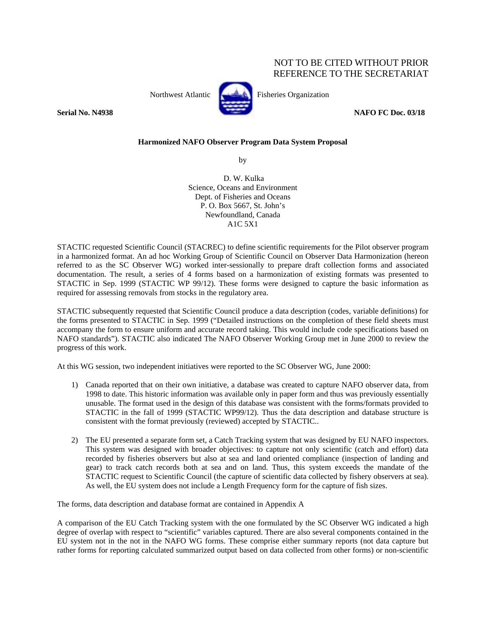# NOT TO BE CITED WITHOUT PRIOR REFERENCE TO THE SECRETARIAT



Northwest Atlantic Fisheries Organization

**Serial No. N4938 NAFO FC Doc. 03/18** 

## **Harmonized NAFO Observer Program Data System Proposal**

by

 D. W. Kulka Science, Oceans and Environment Dept. of Fisheries and Oceans P. O. Box 5667, St. John's Newfoundland, Canada A1C 5X1

STACTIC requested Scientific Council (STACREC) to define scientific requirements for the Pilot observer program in a harmonized format. An ad hoc Working Group of Scientific Council on Observer Data Harmonization (hereon referred to as the SC Observer WG) worked inter-sessionally to prepare draft collection forms and associated documentation. The result, a series of 4 forms based on a harmonization of existing formats was presented to STACTIC in Sep. 1999 (STACTIC WP 99/12). These forms were designed to capture the basic information as required for assessing removals from stocks in the regulatory area.

STACTIC subsequently requested that Scientific Council produce a data description (codes, variable definitions) for the forms presented to STACTIC in Sep. 1999 ("Detailed instructions on the completion of these field sheets must accompany the form to ensure uniform and accurate record taking. This would include code specifications based on NAFO standards"). STACTIC also indicated The NAFO Observer Working Group met in June 2000 to review the progress of this work.

At this WG session, two independent initiatives were reported to the SC Observer WG, June 2000:

- 1) Canada reported that on their own initiative, a database was created to capture NAFO observer data, from 1998 to date. This historic information was available only in paper form and thus was previously essentially unusable. The format used in the design of this database was consistent with the forms/formats provided to STACTIC in the fall of 1999 (STACTIC WP99/12). Thus the data description and database structure is consistent with the format previously (reviewed) accepted by STACTIC..
- 2) The EU presented a separate form set, a Catch Tracking system that was designed by EU NAFO inspectors. This system was designed with broader objectives: to capture not only scientific (catch and effort) data recorded by fisheries observers but also at sea and land oriented compliance (inspection of landing and gear) to track catch records both at sea and on land. Thus, this system exceeds the mandate of the STACTIC request to Scientific Council (the capture of scientific data collected by fishery observers at sea). As well, the EU system does not include a Length Frequency form for the capture of fish sizes.

The forms, data description and database format are contained in Appendix A

A comparison of the EU Catch Tracking system with the one formulated by the SC Observer WG indicated a high degree of overlap with respect to "scientific" variables captured. There are also several components contained in the EU system not in the not in the NAFO WG forms. These comprise either summary reports (not data capture but rather forms for reporting calculated summarized output based on data collected from other forms) or non-scientific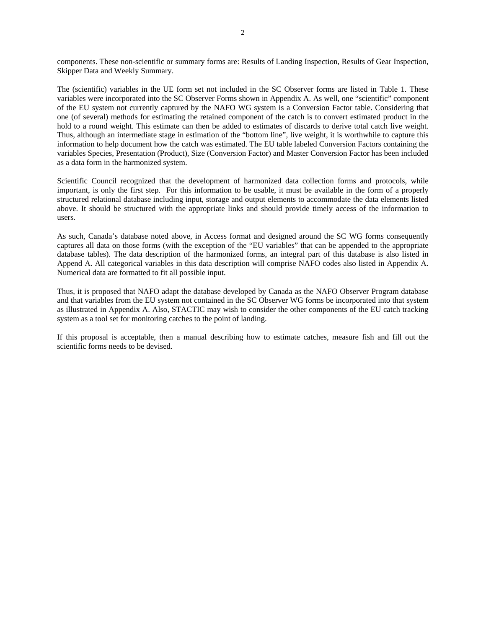components. These non-scientific or summary forms are: Results of Landing Inspection, Results of Gear Inspection, Skipper Data and Weekly Summary.

The (scientific) variables in the UE form set not included in the SC Observer forms are listed in Table 1. These variables were incorporated into the SC Observer Forms shown in Appendix A. As well, one "scientific" component of the EU system not currently captured by the NAFO WG system is a Conversion Factor table. Considering that one (of several) methods for estimating the retained component of the catch is to convert estimated product in the hold to a round weight. This estimate can then be added to estimates of discards to derive total catch live weight. Thus, although an intermediate stage in estimation of the "bottom line", live weight, it is worthwhile to capture this information to help document how the catch was estimated. The EU table labeled Conversion Factors containing the variables Species, Presentation (Product), Size (Conversion Factor) and Master Conversion Factor has been included as a data form in the harmonized system.

Scientific Council recognized that the development of harmonized data collection forms and protocols, while important, is only the first step. For this information to be usable, it must be available in the form of a properly structured relational database including input, storage and output elements to accommodate the data elements listed above. It should be structured with the appropriate links and should provide timely access of the information to users.

As such, Canada's database noted above, in Access format and designed around the SC WG forms consequently captures all data on those forms (with the exception of the "EU variables" that can be appended to the appropriate database tables). The data description of the harmonized forms, an integral part of this database is also listed in Append A. All categorical variables in this data description will comprise NAFO codes also listed in Appendix A. Numerical data are formatted to fit all possible input.

Thus, it is proposed that NAFO adapt the database developed by Canada as the NAFO Observer Program database and that variables from the EU system not contained in the SC Observer WG forms be incorporated into that system as illustrated in Appendix A. Also, STACTIC may wish to consider the other components of the EU catch tracking system as a tool set for monitoring catches to the point of landing.

If this proposal is acceptable, then a manual describing how to estimate catches, measure fish and fill out the scientific forms needs to be devised.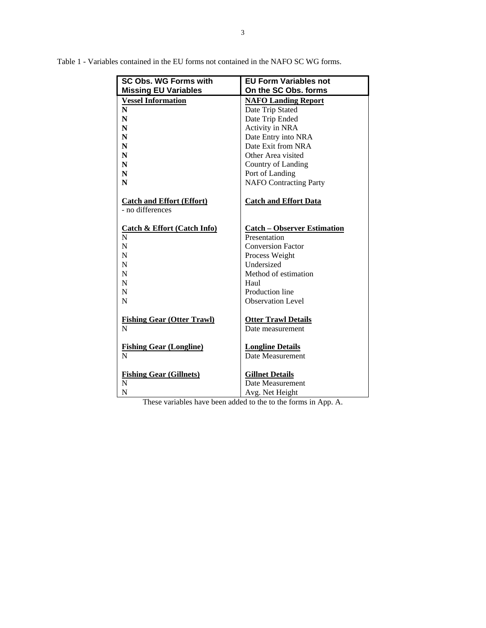| <b>SC Obs. WG Forms with</b>           | <b>EU Form Variables not</b>       |  |
|----------------------------------------|------------------------------------|--|
| <b>Missing EU Variables</b>            | On the SC Obs, forms               |  |
| <b>Vessel Information</b>              | <b>NAFO Landing Report</b>         |  |
| ${\bf N}$                              | Date Trip Stated                   |  |
| ${\bf N}$                              | Date Trip Ended                    |  |
| N                                      | Activity in NRA                    |  |
| N                                      | Date Entry into NRA                |  |
| N                                      | Date Exit from NRA                 |  |
| N                                      | Other Area visited                 |  |
| N                                      | Country of Landing                 |  |
| N                                      | Port of Landing                    |  |
| N                                      | <b>NAFO</b> Contracting Party      |  |
| <b>Catch and Effort (Effort)</b>       | <b>Catch and Effort Data</b>       |  |
| - no differences                       |                                    |  |
|                                        |                                    |  |
| <b>Catch &amp; Effort (Catch Info)</b> | <b>Catch - Observer Estimation</b> |  |
| N                                      | Presentation                       |  |
| N                                      | <b>Conversion Factor</b>           |  |
| N                                      | Process Weight                     |  |
| N                                      | Undersized                         |  |
| N                                      | Method of estimation               |  |
| N                                      | Haul                               |  |
| N                                      | Production line                    |  |
| N                                      | <b>Observation Level</b>           |  |
| <b>Fishing Gear (Otter Trawl)</b>      | <b>Otter Trawl Details</b>         |  |
| $\mathbf N$                            | Date measurement                   |  |
|                                        |                                    |  |
| <b>Fishing Gear (Longline)</b>         | <b>Longline Details</b>            |  |
| N                                      | Date Measurement                   |  |
|                                        |                                    |  |
| <b>Fishing Gear (Gillnets)</b>         | <b>Gillnet Details</b>             |  |
| N                                      | Date Measurement                   |  |
| N                                      | Avg. Net Height                    |  |

Table 1 - Variables contained in the EU forms not contained in the NAFO SC WG forms.

These variables have been added to the to the forms in App. A.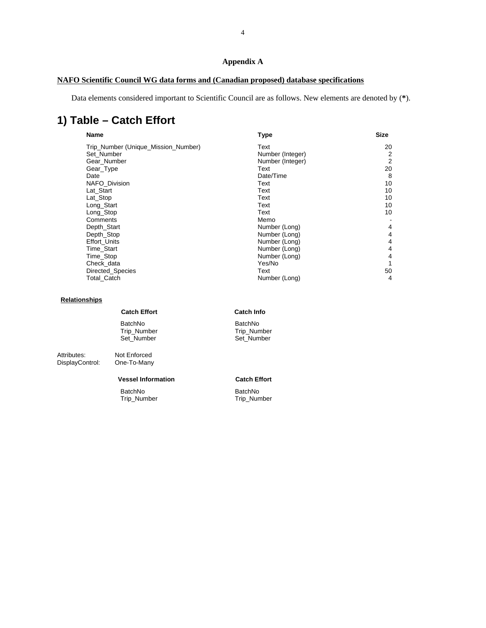# **Appendix A**

# **NAFO Scientific Council WG data forms and (Canadian proposed) database specifications**

Data elements considered important to Scientific Council are as follows. New elements are denoted by (**\***).

# **1) Table – Catch Effort**

| Name                                | <b>Type</b>      | <b>Size</b> |  |
|-------------------------------------|------------------|-------------|--|
| Trip_Number (Unique_Mission_Number) | Text             | 20          |  |
| Set Number                          | Number (Integer) | 2           |  |
| Gear_Number                         | Number (Integer) | 2           |  |
| Gear_Type                           | Text             | 20          |  |
| Date                                | Date/Time        | 8           |  |
| <b>NAFO Division</b>                | Text             | 10          |  |
| Lat Start                           | Text             | 10          |  |
| Lat_Stop                            | Text             | 10          |  |
| Long_Start                          | Text             | 10          |  |
| Long_Stop                           | Text             | 10          |  |
| Comments                            | Memo             |             |  |
| Depth_Start                         | Number (Long)    | 4           |  |
| Depth_Stop                          | Number (Long)    | 4           |  |
| <b>Effort Units</b>                 | Number (Long)    | 4           |  |
| Time_Start                          | Number (Long)    | 4           |  |
| Time_Stop                           | Number (Long)    | 4           |  |
| Check data                          | Yes/No           |             |  |
| Directed_Species                    | Text             | 50          |  |
| <b>Total Catch</b>                  | Number (Long)    | 4           |  |

## **Relationships**

DisplayControl:

|                                | <b>Catch Effort</b>                         | Cat                |
|--------------------------------|---------------------------------------------|--------------------|
|                                | <b>BatchNo</b><br>Trip_Number<br>Set Number | Bat<br>Trip<br>Set |
| Attributes:<br>DisplayControl: | Not Enforced<br>One-To-Many                 |                    |

### **Vessel Information Catch Effort**

BatchNo BatchNo Trip\_Number

**Ch Info** 

tchNo p\_Number Sumber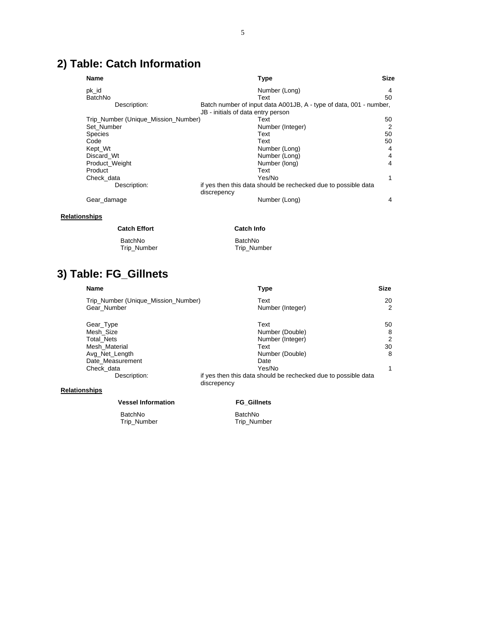# **2) Table: Catch Information**

| <b>Name</b>                         | <b>Type</b>                                                                   | <b>Size</b> |
|-------------------------------------|-------------------------------------------------------------------------------|-------------|
| pk_id                               | Number (Long)                                                                 | 4           |
| BatchNo                             | Text                                                                          | 50          |
| Description:                        | Batch number of input data A001JB, A - type of data, 001 - number,            |             |
|                                     | JB - initials of data entry person                                            |             |
| Trip_Number (Unique_Mission_Number) | Text                                                                          | 50          |
| Set Number                          | Number (Integer)                                                              | 2           |
| <b>Species</b>                      | Text                                                                          | 50          |
| Code                                | Text                                                                          | 50          |
| Kept Wt                             | Number (Long)                                                                 | 4           |
| Discard Wt                          | Number (Long)                                                                 | 4           |
| Product_Weight                      | Number (long)                                                                 | 4           |
| Product                             | Text                                                                          |             |
| Check data                          | Yes/No                                                                        | 1           |
| Description:                        | if yes then this data should be rechecked due to possible data<br>discrepency |             |
| Gear damage                         | Number (Long)                                                                 | 4           |

## **Relationships**

#### **Catch Effort Catch Info**

| BatchNo     | BatchNo     |
|-------------|-------------|
| Trip_Number | Trip_Number |

# **3) Table: FG\_Gillnets**

| <b>Name</b>                         | <b>Type</b>                                                                   | Size |
|-------------------------------------|-------------------------------------------------------------------------------|------|
| Trip_Number (Unique_Mission_Number) | Text                                                                          | 20   |
| Gear Number                         | Number (Integer)                                                              | 2    |
| Gear_Type                           | Text                                                                          | 50   |
| Mesh Size                           | Number (Double)                                                               | 8    |
| Total Nets                          | Number (Integer)                                                              | 2    |
| Mesh Material                       | Text                                                                          | 30   |
| Avg_Net_Length                      | Number (Double)                                                               | 8    |
| Date Measurement                    | Date                                                                          |      |
| Check data                          | Yes/No                                                                        |      |
| Description:                        | if yes then this data should be rechecked due to possible data<br>discrepency |      |
| <b>Relationships</b>                |                                                                               |      |

### **Vessel Information FG\_Gillnets**

BatchNo BatchNo

Trip\_Number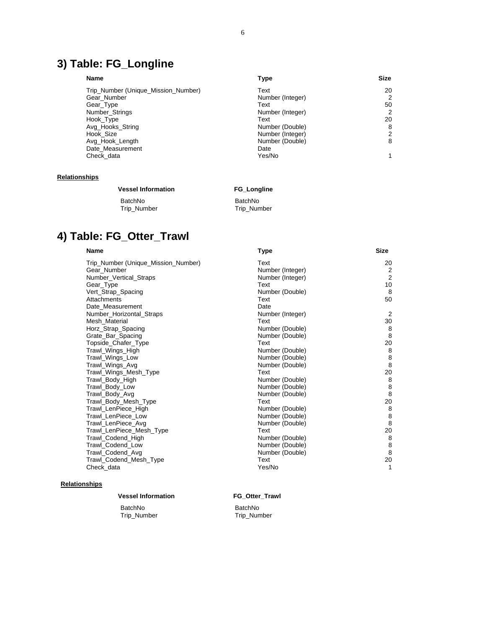# **3) Table: FG\_Longline**

| <b>Name</b> |                                     | Type             | <b>Size</b> |  |
|-------------|-------------------------------------|------------------|-------------|--|
|             | Trip_Number (Unique_Mission_Number) | Text             | 20          |  |
|             | Gear Number                         | Number (Integer) | 2           |  |
|             | Gear_Type                           | Text             | 50          |  |
|             | Number Strings                      | Number (Integer) | 2           |  |
|             | Hook_Type                           | Text             | 20          |  |
|             | Avg Hooks String                    | Number (Double)  | 8           |  |
|             | Hook Size                           | Number (Integer) | 2           |  |
|             | Avg_Hook_Length                     | Number (Double)  | 8           |  |
|             | Date Measurement                    | Date             |             |  |
|             | Check data                          | Yes/No           |             |  |
|             |                                     |                  |             |  |

### **Relationships**

## **Vessel Information FG\_Longline**

BatchNo BatchNo Trip\_Number

# **4) Table: FG\_Otter\_Trawl**

#### **Name Type Size**

| Trip_Number (Unique_Mission_Number) | Text             | 20      |
|-------------------------------------|------------------|---------|
| Gear Number                         | Number (Integer) | 2       |
| Number_Vertical_Straps              | Number (Integer) | 2       |
| Gear_Type                           | Text             | 10      |
| Vert_Strap_Spacing                  | Number (Double)  | 8       |
| Attachments                         | Text             | 50      |
| Date_Measurement                    | Date             |         |
| Number_Horizontal_Straps            | Number (Integer) | 2       |
| Mesh_Material                       | Text             | 30      |
| Horz_Strap_Spacing                  | Number (Double)  | 8       |
| Grate_Bar_Spacing                   | Number (Double)  | 8       |
| Topside_Chafer_Type                 | Text             | 20      |
| Trawl_Wings_High                    | Number (Double)  | 8       |
| Trawl_Wings_Low                     | Number (Double)  | 8       |
| Trawl_Wings_Avg                     | Number (Double)  | 8       |
| Trawl_Wings_Mesh_Type               | Text             | 20      |
| Trawl_Body_High                     | Number (Double)  | 8       |
| Trawl Body Low                      | Number (Double)  | $\bf 8$ |
| Trawl_Body_Avg                      | Number (Double)  | 8       |
| Trawl_Body_Mesh_Type                | Text             | 20      |
| Trawl_LenPiece_High                 | Number (Double)  | 8       |
| Trawl LenPiece Low                  | Number (Double)  | 8       |
| Trawl_LenPiece_Avg                  | Number (Double)  | 8       |
| Trawl_LenPiece_Mesh_Type            | Text             | 20      |
| Trawl_Codend_High                   | Number (Double)  | 8       |
| Trawl Codend Low                    | Number (Double)  | 8       |
| Trawl_Codend_Avg                    | Number (Double)  | 8       |
| Trawl_Codend_Mesh_Type              | Text             | 20      |
| Check data                          | Yes/No           | 1       |
|                                     |                  |         |

## **Relationships**

### **Vessel Information FG\_Otter\_Trawl**

BatchNo BatchNo

Trip\_Number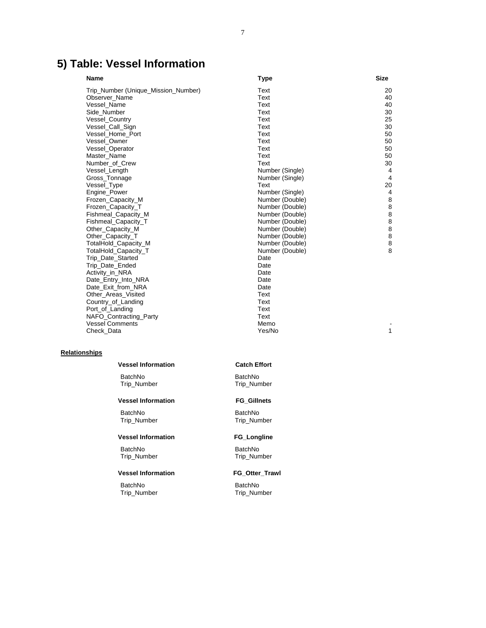# **5) Table: Vessel Information**

| <b>Name</b>                         | <b>Type</b>     | <b>Size</b>    |
|-------------------------------------|-----------------|----------------|
| Trip_Number (Unique_Mission_Number) | Text            | 20             |
| Observer Name                       | Text            | 40             |
| Vessel Name                         | Text            | 40             |
| Side_Number                         | Text            | 30             |
| Vessel_Country                      | Text            | 25             |
| Vessel_Call_Sign                    | Text            | 30             |
| Vessel Home Port                    | Text            | 50             |
| Vessel Owner                        | Text            | 50             |
| Vessel_Operator                     | Text            | 50             |
| Master Name                         | Text            | 50             |
| Number of Crew                      | Text            | 30             |
| Vessel_Length                       | Number (Single) | 4              |
| Gross Tonnage                       | Number (Single) | $\overline{4}$ |
| Vessel_Type                         | Text            | 20             |
| Engine_Power                        | Number (Single) | 4              |
| Frozen_Capacity_M                   | Number (Double) | 8              |
| Frozen_Capacity_T                   | Number (Double) | 8              |
| Fishmeal_Capacity_M                 | Number (Double) | 8              |
| Fishmeal_Capacity_T                 | Number (Double) | 8              |
| Other_Capacity_M                    | Number (Double) | 8              |
| Other Capacity T                    | Number (Double) | 8              |
| TotalHold_Capacity_M                | Number (Double) | $\bf 8$        |
| TotalHold Capacity T                | Number (Double) | 8              |
| Trip_Date_Started                   | Date            |                |
| Trip Date Ended                     | Date            |                |
| Activity_in_NRA                     | Date            |                |
| Date_Entry_Into_NRA                 | Date            |                |
| Date_Exit_from_NRA                  | Date            |                |
| Other_Areas_Visited                 | Text            |                |
| Country_of_Landing                  | Text            |                |
| Port_of_Landing                     | Text            |                |
| NAFO_Contracting_Party              | Text            |                |
| <b>Vessel Comments</b>              | Memo            |                |
| Check_Data                          | Yes/No          | 1              |
|                                     |                 |                |

## **Relationships**

#### **Vessel Information Catch Effort**

BatchNo BatchNo

## **Vessel Information FG\_Gillnets**

BatchNo BatchNo Trip\_Number Trip\_Number

#### **Vessel Information FG\_Longline**

BatchNo BatchNo Trip\_Number

## **Vessel Information FG\_Otter\_Trawl**

BatchNo BatchNo

Trip\_Number

Trip\_Number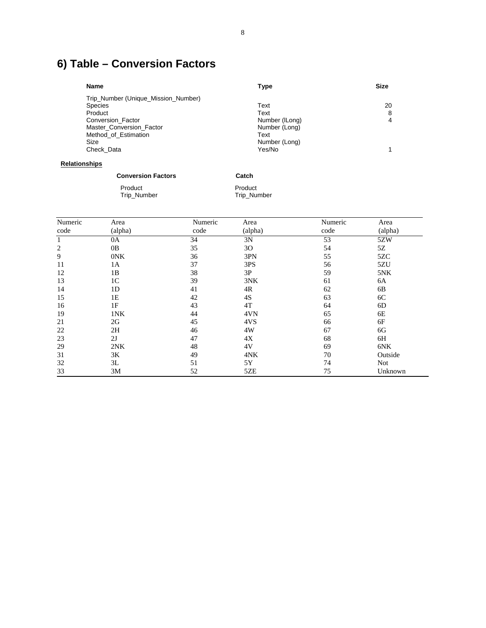# **6) Table – Conversion Factors**

| <b>Name</b>                         | Type           | <b>Size</b> |
|-------------------------------------|----------------|-------------|
| Trip_Number (Unique_Mission_Number) |                |             |
| <b>Species</b>                      | Text           | 20          |
| Product                             | Text           | 8           |
| Conversion Factor                   | Number (ILong) |             |
| Master Conversion Factor            | Number (Long)  |             |
| Method of Estimation                | Text           |             |
| Size                                | Number (Long)  |             |
| Check Data                          | Yes/No         |             |
|                                     |                |             |

# **Relationships**

| <b>Conversion Factors</b> | Catch       |
|---------------------------|-------------|
| Product                   | Product     |
| Trip_Number               | Trip Number |

| Numeric        | Area           | Numeric | Area    | Numeric | Area       |
|----------------|----------------|---------|---------|---------|------------|
| code           | (alpha)        | code    | (alpha) | code    | (alpha)    |
| 1              | 0A             | 34      | 3N      | 53      | 5ZW        |
| $\overline{2}$ | 0 <sub>B</sub> | 35      | 30      | 54      | 5Ζ         |
| 9              | 0NK            | 36      | 3PN     | 55      | 5ZC        |
| 11             | 1A             | 37      | 3PS     | 56      | 5ZU        |
| 12             | 1B             | 38      | 3P      | 59      | 5NK        |
| 13             | 1 <sup>C</sup> | 39      | 3NK     | 61      | 6A         |
| 14             | 1 <sub>D</sub> | 41      | 4R      | 62      | 6B         |
| 15             | 1E             | 42      | 4S      | 63      | 6C         |
| 16             | 1F             | 43      | 4T      | 64      | 6D         |
| 19             | 1NK            | 44      | 4VN     | 65      | 6E         |
| 21             | 2G             | 45      | 4VS     | 66      | 6F         |
| 22             | 2H             | 46      | 4W      | 67      | 6G         |
| 23             | 2J             | 47      | 4X      | 68      | 6H         |
| 29             | 2NK            | 48      | 4V      | 69      | 6NK        |
| 31             | 3Κ             | 49      | 4NK     | 70      | Outside    |
| 32             | 3L             | 51      | 5Y      | 74      | <b>Not</b> |
| 33             | 3M             | 52      | 5ZE     | 75      | Unknown    |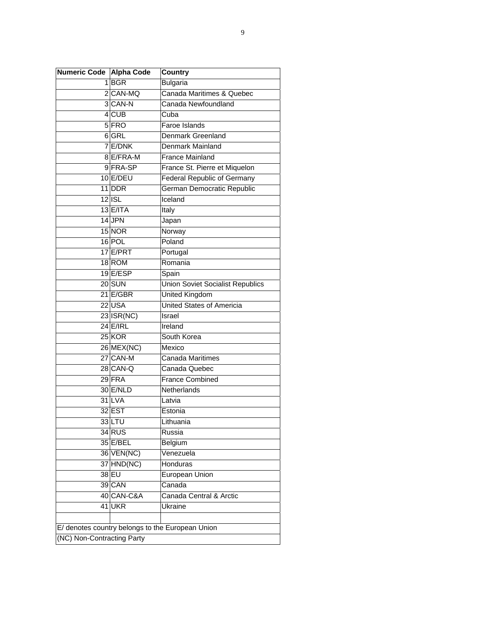| Numeric Code   Alpha Code  |                 | <b>Country</b>                                   |  |  |
|----------------------------|-----------------|--------------------------------------------------|--|--|
|                            | 1 BGR           | <b>Bulgaria</b>                                  |  |  |
|                            | $2 $ CAN-MQ     | Canada Maritimes & Quebec                        |  |  |
|                            | 3CAN-N          | Canada Newfoundland                              |  |  |
|                            | $4$ CUB         | Cuba                                             |  |  |
|                            | $5$ FRO         | Faroe Islands                                    |  |  |
|                            | 6 GRL           | Denmark Greenland                                |  |  |
|                            | $7$ E/DNK       | Denmark Mainland                                 |  |  |
|                            | 8 E/FRA-M       | <b>France Mainland</b>                           |  |  |
|                            | 9FRA-SP         | France St. Pierre et Miquelon                    |  |  |
|                            | $10$ E/DEU      | Federal Republic of Germany                      |  |  |
|                            | 11 DDR          | German Democratic Republic                       |  |  |
|                            | $12$ ISL        | Iceland                                          |  |  |
|                            | $13$ E/ITA      | Italy                                            |  |  |
|                            | $14$ JPN        | Japan                                            |  |  |
|                            | 15 NOR          | Norway                                           |  |  |
|                            | 16 POL          | Poland                                           |  |  |
|                            | 17 E/PRT        | Portugal                                         |  |  |
|                            | 18 ROM          | Romania                                          |  |  |
|                            | $19$ E/ESP      | Spain                                            |  |  |
|                            | $20$ SUN        | <b>Union Soviet Socialist Republics</b>          |  |  |
|                            | $21$ E/GBR      | United Kingdom                                   |  |  |
|                            | $22$ USA        | United States of Americia                        |  |  |
|                            | $23 $ ISR(NC)   | Israel                                           |  |  |
|                            | <b>24 E/IRL</b> | Ireland                                          |  |  |
|                            | 25 KOR          | South Korea                                      |  |  |
|                            | 26 MEX(NC)      | Mexico                                           |  |  |
|                            | 27 CAN-M        | Canada Maritimes                                 |  |  |
|                            | 28 CAN-Q        | Canada Quebec                                    |  |  |
|                            | 29 FRA          | <b>France Combined</b>                           |  |  |
|                            | 30 E/NLD        | Netherlands                                      |  |  |
|                            | 31 LVA          | Latvia                                           |  |  |
|                            | 32 EST          | Estonia                                          |  |  |
|                            | $33$ LTU        | Lithuania                                        |  |  |
|                            | $34$ RUS        | Russia                                           |  |  |
|                            | 35 E/BEL        | Belgium                                          |  |  |
|                            | 36 VEN(NC)      | Venezuela                                        |  |  |
|                            | 37 HND(NC)      | Honduras                                         |  |  |
|                            | 38 EU           | European Union                                   |  |  |
|                            | 39 CAN          | Canada                                           |  |  |
|                            | 40 CAN-C&A      | Canada Central & Arctic                          |  |  |
|                            | 41 UKR          | Ukraine                                          |  |  |
|                            |                 |                                                  |  |  |
|                            |                 | E/ denotes country belongs to the European Union |  |  |
| (NC) Non-Contracting Party |                 |                                                  |  |  |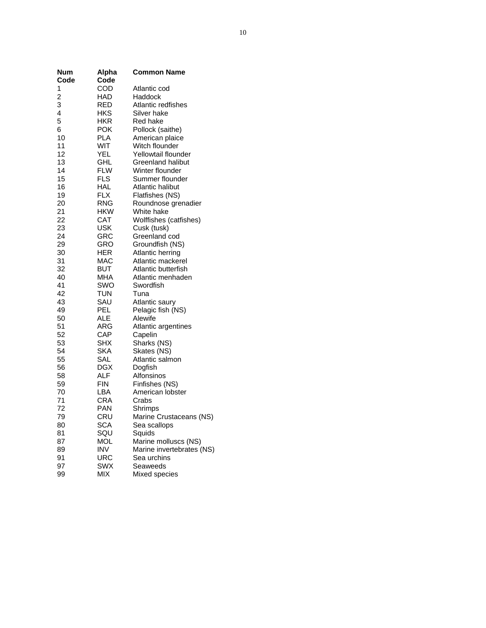| <b>Num</b><br>Code | <b>Alpha</b><br>Code | <b>Common Name</b>             |
|--------------------|----------------------|--------------------------------|
| 1                  | COD                  | Atlantic cod                   |
| 2                  | HAD                  | Haddock                        |
| 3                  | RED                  | Atlantic redfishes             |
| 4                  | HKS                  | Silver hake                    |
| 5                  | <b>HKR</b>           | Red hake                       |
| 6                  | <b>POK</b>           | Pollock (saithe)               |
| 10                 | PLA                  | American plaice                |
| 11                 | WIT                  | Witch flounder                 |
| 12                 | <b>YEL</b>           | Yellowtail flounder            |
| 13                 | GHL                  | <b>Greenland halibut</b>       |
| 14                 | FLW                  | Winter flounder                |
| 15                 | FLS                  | Summer flounder                |
| 16                 | HAL                  | Atlantic halibut               |
| 19                 | <b>FLX</b>           | Flatfishes (NS)                |
| 20                 | <b>RNG</b>           | Roundnose grenadier            |
| 21                 | HKW                  | White hake                     |
| 22                 | CAT                  | Wolffishes (catfishes)         |
| 23                 | <b>USK</b>           | Cusk (tusk)                    |
| 24                 | GRC                  | Greenland cod                  |
| 29                 | GRO                  | Groundfish (NS)                |
| 30                 | HER                  | Atlantic herring               |
| 31                 | MAC                  | Atlantic mackerel              |
| 32                 | BUT                  | Atlantic butterfish            |
| 40                 | MHA                  | Atlantic menhaden              |
| 41                 | SWO                  | Swordfish                      |
| 42                 | TUN                  | Tuna                           |
| 43<br>49           | SAU                  | Atlantic saury                 |
| 50                 | PEL<br>ALE           | Pelagic fish (NS)              |
| 51                 | ARG                  | Alewife                        |
| 52                 | CAP                  | Atlantic argentines<br>Capelin |
| 53                 | SHX                  | Sharks (NS)                    |
| 54                 | SKA                  | Skates (NS)                    |
| 55                 | SAL                  | Atlantic salmon                |
| 56                 | DGX                  | Dogfish                        |
| 58                 | ALF                  | Alfonsinos                     |
| 59                 | FIN                  | Finfishes (NS)                 |
| 70                 | LBA                  | American lobster               |
| 71                 | <b>CRA</b>           | Crabs                          |
| 72                 | PAN                  | Shrimps                        |
| 79                 | CRU                  | Marine Crustaceans (NS)        |
| 80                 | SCA                  | Sea scallops                   |
| 81                 | SQU                  | Squids                         |
| 87                 | MOL                  | Marine molluscs (NS)           |
| 89                 | INV                  | Marine invertebrates (NS)      |
| 91                 | URC                  | Sea urchins                    |
| 97                 | SWX                  | Seaweeds                       |
| 99                 | MIX                  | Mixed species                  |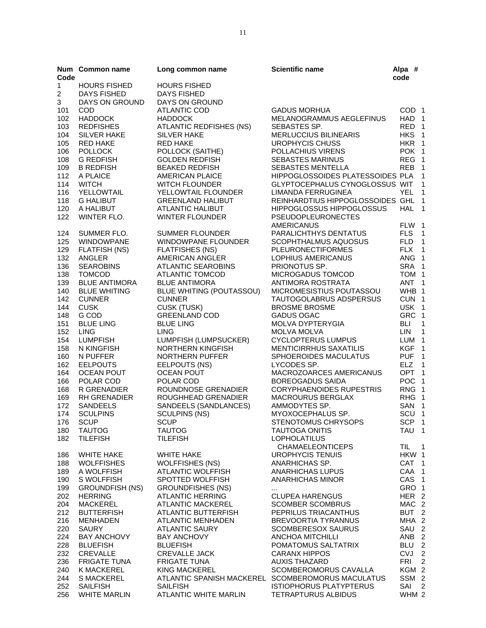| Code           | Num Common name                             | Long common name                                       | <b>Scientific name</b>                              | Alpa $#$<br>code                     |                  |
|----------------|---------------------------------------------|--------------------------------------------------------|-----------------------------------------------------|--------------------------------------|------------------|
| $\mathbf{1}$   | <b>HOURS FISHED</b>                         | <b>HOURS FISHED</b>                                    |                                                     |                                      |                  |
| $\overline{c}$ | <b>DAYS FISHED</b>                          | DAYS FISHED                                            |                                                     |                                      |                  |
| 3              | DAYS ON GROUND                              | DAYS ON GROUND                                         |                                                     |                                      |                  |
| 101            | COD                                         | <b>ATLANTIC COD</b>                                    | <b>GADUS MORHUA</b>                                 | COD <sub>1</sub>                     |                  |
| 102            | <b>HADDOCK</b>                              | <b>HADDOCK</b>                                         | MELANOGRAMMUS AEGLEFINUS                            | HAD <sub>1</sub>                     |                  |
| 103            | <b>REDFISHES</b>                            | <b>ATLANTIC REDFISHES (NS)</b>                         | SEBASTES SP.                                        | RED <sub>1</sub>                     |                  |
| 104            | <b>SILVER HAKE</b>                          | <b>SILVER HAKE</b>                                     | <b>MERLUCCIUS BILINEARIS</b>                        | HKS <sub>1</sub>                     |                  |
| 105            | <b>RED HAKE</b>                             | <b>RED HAKE</b>                                        | UROPHYCIS CHUSS                                     | HKR 1                                |                  |
| 106            | <b>POLLOCK</b>                              | POLLOCK (SAITHE)                                       | POLLACHIUS VIRENS                                   | POK <sub>1</sub><br>REG 1            |                  |
| 108<br>109     | <b>G REDFISH</b><br><b>B REDFISH</b>        | <b>GOLDEN REDFISH</b><br><b>BEAKED REDFISH</b>         | <b>SEBASTES MARINUS</b><br><b>SEBASTES MENTELLA</b> | REB <sub>1</sub>                     |                  |
| 112            | A PLAICE                                    | <b>AMERICAN PLAICE</b>                                 | HIPPOGLOSSOIDES PLATESSOIDES PLA 1                  |                                      |                  |
| 114            | <b>WITCH</b>                                | <b>WITCH FLOUNDER</b>                                  | GLYPTOCEPHALUS CYNOGLOSSUS WIT                      |                                      | $\overline{1}$   |
| 116            | YELLOWTAIL                                  | YELLOWTAIL FLOUNDER                                    | LIMANDA FERRUGINEA                                  | YEL.                                 | $\overline{1}$   |
| 118            | <b>G HALIBUT</b>                            | <b>GREENLAND HALIBUT</b>                               | REINHARDTIUS HIPPOGLOSSOIDES GHL 1                  |                                      |                  |
| 120            | A HALIBUT                                   | ATLANTIC HALIBUT                                       | <b>HIPPOGLOSSUS HIPPOGLOSSUS</b>                    | HAL 1                                |                  |
| 122            | WINTER FLO.                                 | <b>WINTER FLOUNDER</b>                                 | <b>PSEUDOPLEURONECTES</b>                           |                                      |                  |
|                |                                             |                                                        | <b>AMERICANUS</b>                                   | FLW 1                                |                  |
| 124            | SUMMER FLO.                                 | <b>SUMMER FLOUNDER</b>                                 | PARALICHTHYS DENTATUS                               | <b>FLS</b>                           | $\overline{1}$   |
| 125            | <b>WINDOWPANE</b>                           | <b>WINDOWPANE FLOUNDER</b>                             | SCOPHTHALMUS AQUOSUS                                | FLD 1                                |                  |
| 129            | <b>FLATFISH (NS)</b>                        | <b>FLATFISHES (NS)</b>                                 | <b>PLEURONECTIFORMES</b>                            | FLX 1                                |                  |
| 132            | ANGLER                                      | AMERICAN ANGLER                                        | LOPHIUS AMERICANUS                                  | ANG 1                                |                  |
| 136            | <b>SEAROBINS</b>                            | <b>ATLANTIC SEAROBINS</b>                              | PRIONOTUS SP.                                       | SRA 1                                |                  |
| 138            | <b>TOMCOD</b>                               | <b>ATLANTIC TOMCOD</b>                                 | MICROGADUS TOMCOD                                   | TOM 1                                |                  |
| 139            | <b>BLUE ANTIMORA</b><br><b>BLUE WHITING</b> | <b>BLUE ANTIMORA</b>                                   | ANTIMORA ROSTRATA                                   | ANT <sub>1</sub><br>WHB 1            |                  |
| 140<br>142     | <b>CUNNER</b>                               | BLUE WHITING (POUTASSOU)<br><b>CUNNER</b>              | MICROMESISTIUS POUTASSOU<br>TAUTOGOLABRUS ADSPERSUS | CUN 1                                |                  |
| 144            | <b>CUSK</b>                                 | CUSK (TUSK)                                            | <b>BROSME BROSME</b>                                | USK 1                                |                  |
| 148            | G COD                                       | <b>GREENLAND COD</b>                                   | GADUS OGAC                                          | GRC 1                                |                  |
| 151            | <b>BLUE LING</b>                            | <b>BLUE LING</b>                                       | <b>MOLVA DYPTERYGIA</b>                             | <b>BLI</b>                           | $\overline{1}$   |
| 152            | <b>LING</b>                                 | <b>LING</b>                                            | <b>MOLVA MOLVA</b>                                  | <b>LIN</b>                           | $\overline{1}$   |
| 154            | <b>LUMPFISH</b>                             | LUMPFISH (LUMPSUCKER)                                  | <b>CYCLOPTERUS LUMPUS</b>                           | LUM <sub>1</sub>                     |                  |
| 158            | N KINGFISH                                  | NORTHERN KINGFISH                                      | <b>MENTICIRRHUS SAXATILIS</b>                       | KGF 1                                |                  |
| 160            | N PUFFER                                    | NORTHERN PUFFER                                        | SPHOEROIDES MACULATUS                               | PUF <sub>1</sub>                     |                  |
| 162            | <b>EELPOUTS</b>                             | EELPOUTS (NS)                                          | LYCODES SP.                                         | ELZ 1                                |                  |
| 164            | <b>OCEAN POUT</b>                           | <b>OCEAN POUT</b>                                      | MACROZOARCES AMERICANUS                             | OPT <sub>1</sub>                     |                  |
| 166            | POLAR COD                                   | POLAR COD                                              | <b>BOREOGADUS SAIDA</b>                             | POC <sub>1</sub>                     |                  |
| 168            | R GRENADIER                                 | ROUNDNOSE GRENADIER                                    | <b>CORYPHAENOIDES RUPESTRIS</b>                     | RNG 1                                |                  |
| 169<br>172     | <b>RH GRENADIER</b><br><b>SANDEELS</b>      | ROUGHHEAD GRENADIER                                    | <b>MACROURUS BERGLAX</b><br>AMMODYTES SP.           | RHG 1<br>SAN 1                       |                  |
| 174            | <b>SCULPINS</b>                             | SANDEELS (SANDLANCES)<br><b>SCULPINS (NS)</b>          | MYOXOCEPHALUS SP.                                   | SCU <sub>1</sub>                     |                  |
| 176            | <b>SCUP</b>                                 | <b>SCUP</b>                                            | STENOTOMUS CHRYSOPS                                 | SCP 1                                |                  |
| 180            | <b>TAUTOG</b>                               | <b>TAUTOG</b>                                          | <b>TAUTOGA ONITIS</b>                               | TAU <sub>1</sub>                     |                  |
| 182            | <b>TILEFISH</b>                             | <b>TILEFISH</b>                                        | <b>LOPHOLATILUS</b>                                 |                                      |                  |
|                |                                             |                                                        | <b>CHAMAELEONTICEPS</b>                             | TIL                                  | $\overline{1}$   |
| 186            | <b>WHITE HAKE</b>                           | <b>WHITE HAKE</b>                                      | <b>UROPHYCIS TENUIS</b>                             | HKW 1                                |                  |
| 188            | <b>WOLFFISHES</b>                           | <b>WOLFFISHES (NS)</b>                                 | ANARHICHAS SP.                                      | CAT <sub>1</sub>                     |                  |
| 189            | A WOLFFISH                                  | <b>ATLANTIC WOLFFISH</b>                               | <b>ANARHICHAS LUPUS</b>                             | CAA 1                                |                  |
| 190            | S WOLFFISH                                  | SPOTTED WOLFFISH                                       | <b>ANARHICHAS MINOR</b>                             | CAS <sub>1</sub>                     |                  |
| 199            | <b>GROUNDFISH (NS)</b>                      | <b>GROUNDFISHES (NS)</b>                               |                                                     | GRO 1                                |                  |
| 202            | <b>HERRING</b>                              | <b>ATLANTIC HERRING</b>                                | <b>CLUPEA HARENGUS</b>                              | HER <sub>2</sub>                     |                  |
| 204<br>212     | <b>MACKEREL</b><br><b>BUTTERFISH</b>        | <b>ATLANTIC MACKEREL</b><br><b>ATLANTIC BUTTERFISH</b> | <b>SCOMBER SCOMBRUS</b><br>PEPRILUS TRIACANTHUS     | MAC <sub>2</sub><br>BUT <sub>2</sub> |                  |
| 216            | <b>MENHADEN</b>                             | <b>ATLANTIC MENHADEN</b>                               | <b>BREVOORTIA TYRANNUS</b>                          | MHA 2                                |                  |
| 220            | <b>SAURY</b>                                | <b>ATLANTIC SAURY</b>                                  | <b>SCOMBERESOX SAURUS</b>                           | SAU <sub>2</sub>                     |                  |
| 224            | <b>BAY ANCHOVY</b>                          | <b>BAY ANCHOVY</b>                                     | ANCHOA MITCHILLI                                    | ANB <sub>2</sub>                     |                  |
| 228            | <b>BLUEFISH</b>                             | <b>BLUEFISH</b>                                        | POMATOMUS SALTATRIX                                 | BLU                                  | $\sqrt{2}$       |
| 232            | <b>CREVALLE</b>                             | <b>CREVALLE JACK</b>                                   | <b>CARANX HIPPOS</b>                                | <b>CVJ</b>                           | $\sqrt{2}$       |
| 236            | <b>FRIGATE TUNA</b>                         | <b>FRIGATE TUNA</b>                                    | <b>AUXIS THAZARD</b>                                | <b>FRI</b>                           | $\boldsymbol{2}$ |
| 240            | <b>K MACKEREL</b>                           | <b>KING MACKEREL</b>                                   | SCOMBEROMORUS CAVALLA                               | KGM 2                                |                  |
| 244            | <b>S MACKEREL</b>                           |                                                        | ATLANTIC SPANISH MACKEREL SCOMBEROMORUS MACULATUS   | SSM <sub>2</sub>                     |                  |
| 252            | <b>SAILFISH</b>                             | <b>SAILFISH</b>                                        | <b>ISTIOPHORUS PLATYPTERUS</b>                      | SAI                                  | $\overline{2}$   |
| 256            | <b>WHITE MARLIN</b>                         | <b>ATLANTIC WHITE MARLIN</b>                           | TETRAPTURUS ALBIDUS                                 | WHM 2                                |                  |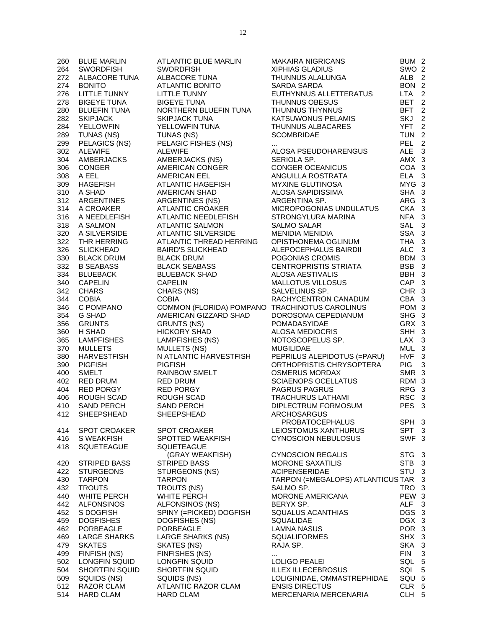| 260        | <b>BLUE MARLIN</b>            | ATLANTIC BLUE MARLIN                           | <b>MAKAIRA NIGRICANS</b>                                 | BUM <sub>2</sub>    |                  |
|------------|-------------------------------|------------------------------------------------|----------------------------------------------------------|---------------------|------------------|
| 264        | <b>SWORDFISH</b>              | <b>SWORDFISH</b>                               | <b>XIPHIAS GLADIUS</b>                                   | SWO <sub>2</sub>    |                  |
| 272        | ALBACORE TUNA                 | ALBACORE TUNA                                  | THUNNUS ALALUNGA                                         | ALB <sub>2</sub>    |                  |
| 274        | <b>BONITO</b>                 | ATLANTIC BONITO                                | SARDA SARDA                                              | BON 2               |                  |
| 276        | <b>LITTLE TUNNY</b>           | <b>LITTLE TUNNY</b>                            | EUTHYNNUS ALLETTERATUS                                   | LTA <sub>2</sub>    |                  |
| 278        | <b>BIGEYE TUNA</b>            | <b>BIGEYE TUNA</b>                             | THUNNUS OBESUS                                           | BET <sub>2</sub>    |                  |
| 280        | <b>BLUEFIN TUNA</b>           | NORTHERN BLUEFIN TUNA                          | THUNNUS THYNNUS                                          | BFT <sub>2</sub>    |                  |
| 282        | <b>SKIPJACK</b>               | <b>SKIPJACK TUNA</b>                           | KATSUWONUS PELAMIS                                       | SKJ                 | $\boldsymbol{2}$ |
| 284        | <b>YELLOWFIN</b>              | YELLOWFIN TUNA                                 | THUNNUS ALBACARES                                        | YFT <sub>2</sub>    |                  |
| 289        | TUNAS (NS)                    | TUNAS (NS)                                     | <b>SCOMBRIDAE</b>                                        | TUN <sub>2</sub>    |                  |
| 299        | PELAGICS (NS)                 | PELAGIC FISHES (NS)                            |                                                          | PEL <sub>2</sub>    |                  |
| 302        | <b>ALEWIFE</b>                | <b>ALEWIFE</b>                                 | ALOSA PSEUDOHARENGUS                                     | ALE <sub>3</sub>    |                  |
| 304        | AMBERJACKS                    | AMBERJACKS (NS)                                | SERIOLA SP.                                              | AMX 3               |                  |
| 306        | <b>CONGER</b>                 | AMERICAN CONGER                                | <b>CONGER OCEANICUS</b>                                  | COA 3               |                  |
| 308        | A EEL                         | AMERICAN EEL                                   | ANGUILLA ROSTRATA                                        | ELA 3               |                  |
| 309        | HAGEFISH                      | ATLANTIC HAGEFISH                              | <b>MYXINE GLUTINOSA</b>                                  | MYG 3               |                  |
| 310        | A SHAD                        | AMERICAN SHAD                                  | ALOSA SAPIDISSIMA                                        | SHA 3               |                  |
| 312        | ARGENTINES                    | <b>ARGENTINES (NS)</b>                         | ARGENTINA SP.                                            | ARG 3               |                  |
| 314        | A CROAKER                     | ATLANTIC CROAKER                               | MICROPOGONIAS UNDULATUS                                  | CKA 3               |                  |
| 316        | A NEEDLEFISH                  | <b>ATLANTIC NEEDLEFISH</b>                     | STRONGYLURA MARINA                                       | NFA <sub>3</sub>    |                  |
| 318        | A SALMON                      | <b>ATLANTIC SALMON</b>                         | <b>SALMO SALAR</b>                                       | SAL 3               |                  |
| 320        | A SILVERSIDE                  | <b>ATLANTIC SILVERSIDE</b>                     | <b>MENIDIA MENIDIA</b>                                   | SSA 3               |                  |
| 322        | THR HERRING                   | ATLANTIC THREAD HERRING                        | OPISTHONEMA OGLINUM                                      | THA 3               |                  |
| 326        | <b>SLICKHEAD</b>              | <b>BAIRD'S SLICKHEAD</b>                       | ALEPOCEPHALUS BAIRDII                                    | ALC 3               |                  |
| 330        | <b>BLACK DRUM</b>             | <b>BLACK DRUM</b>                              | POGONIAS CROMIS                                          | BDM 3               |                  |
| 332        | <b>B SEABASS</b>              | <b>BLACK SEABASS</b>                           | <b>CENTROPRISTIS STRIATA</b>                             | BSB 3               |                  |
| 334        | BLUEBACK                      | <b>BLUEBACK SHAD</b>                           | <b>ALOSA AESTIVALIS</b>                                  | BBH 3               |                  |
| 340        | <b>CAPELIN</b>                | <b>CAPELIN</b>                                 | MALLOTUS VILLOSUS                                        | CAP <sub>3</sub>    |                  |
| 342        | <b>CHARS</b>                  | CHARS (NS)                                     | SALVELINUS SP.                                           | CHR 3               |                  |
| 344        | <b>COBIA</b>                  | <b>COBIA</b>                                   | RACHYCENTRON CANADUM                                     | CBA 3               |                  |
| 346        | C POMPANO                     | COMMON (FLORIDA) POMPANO TRACHINOTUS CAROLINUS |                                                          | POM 3               |                  |
| 354        | G SHAD                        | AMERICAN GIZZARD SHAD                          | DOROSOMA CEPEDIANUM                                      | SHG 3               |                  |
| 356        | <b>GRUNTS</b>                 | <b>GRUNTS (NS)</b>                             | POMADASYIDAE                                             | GRX 3               |                  |
| 360        | H SHAD                        | <b>HICKORY SHAD</b>                            | ALOSA MEDIOCRIS                                          | SHH 3               |                  |
| 365        | <b>LAMPFISHES</b>             | LAMPFISHES (NS)                                | NOTOSCOPELUS SP.                                         | LAX 3               |                  |
| 370        | <b>MULLETS</b>                | <b>MULLETS (NS)</b>                            | <b>MUGILIDAE</b>                                         | MUL 3               |                  |
| 380        | <b>HARVESTFISH</b>            | N ATLANTIC HARVESTFISH                         | PEPRILUS ALEPIDOTUS (=PARU)                              | HVF <sub>3</sub>    |                  |
| 390        | <b>PIGFISH</b>                | <b>PIGFISH</b>                                 | ORTHOPRISTIS CHRYSOPTERA                                 | <b>PIG</b>          | $\mathbf{3}$     |
| 400        | <b>SMELT</b>                  | <b>RAINBOW SMELT</b>                           | <b>OSMERUS MORDAX</b>                                    | SMR 3               |                  |
| 402        | RED DRUM                      | <b>RED DRUM</b>                                | <b>SCIAENOPS OCELLATUS</b>                               | RDM 3               |                  |
| 404        | RED PORGY                     | RED PORGY                                      | <b>PAGRUS PAGRUS</b>                                     | RPG 3               |                  |
| 406        | ROUGH SCAD                    | ROUGH SCAD                                     | <b>TRACHURUS LATHAMI</b>                                 | RSC 3               |                  |
| 410        | <b>SAND PERCH</b>             | <b>SAND PERCH</b>                              | DIPLECTRUM FORMOSUM                                      | PES <sub>3</sub>    |                  |
|            | 412 SHEEPSHEAD                | SHEEPSHEAD                                     | ARCHOSARGUS                                              |                     |                  |
|            |                               |                                                | <b>PROBATOCEPHALUS</b>                                   | SPH <sub>3</sub>    |                  |
| 414        | <b>SPOT CROAKER</b>           | <b>SPOT CROAKER</b>                            | LEIOSTOMUS XANTHURUS                                     | SPT <sub>3</sub>    |                  |
| 416        | S WEAKFISH                    | SPOTTED WEAKFISH                               | <b>CYNOSCION NEBULOSUS</b>                               | SWF <sub>3</sub>    |                  |
| 418        | SQUETEAGUE                    | SQUETEAGUE                                     |                                                          |                     |                  |
|            |                               | (GRAY WEAKFISH)                                | <b>CYNOSCION REGALIS</b>                                 | STG <sub>3</sub>    |                  |
| 420        | STRIPED BASS                  | <b>STRIPED BASS</b>                            | <b>MORONE SAXATILIS</b>                                  | STB <sub>3</sub>    |                  |
| 422        | <b>STURGEONS</b>              | STURGEONS (NS)                                 | <b>ACIPENSERIDAE</b>                                     | STU <sub>3</sub>    |                  |
| 430        | <b>TARPON</b>                 | <b>TARPON</b>                                  | TARPON (=MEGALOPS) ATLANTICUS TAR 3                      |                     |                  |
| 432        | <b>TROUTS</b>                 | TROUTS (NS)                                    | SALMO SP.                                                | TRO 3               |                  |
| 440        | <b>WHITE PERCH</b>            | <b>WHITE PERCH</b>                             | <b>MORONE AMERICANA</b>                                  | PEW 3               |                  |
| 442        | <b>ALFONSINOS</b>             | ALFONSINOS (NS)                                | BERYX SP.                                                | <b>ALF</b>          | $\mathbf{3}$     |
| 452        | S DOGFISH                     | SPINY (=PICKED) DOGFISH                        | SQUALUS ACANTHIAS                                        | DGS 3               |                  |
| 459        | <b>DOGFISHES</b>              | DOGFISHES (NS)                                 | <b>SQUALIDAE</b>                                         | DGX 3               |                  |
| 462        | PORBEAGLE                     | PORBEAGLE                                      | LAMNA NASUS                                              | POR 3               |                  |
|            | <b>LARGE SHARKS</b>           | <b>LARGE SHARKS (NS)</b>                       |                                                          | SHX 3               |                  |
| 469        |                               |                                                | <b>SQUALIFORMES</b>                                      |                     |                  |
| 479        | <b>SKATES</b>                 | SKATES (NS)                                    | RAJA SP.                                                 | SKA 3<br><b>FIN</b> | 3                |
| 499<br>502 | FINFISH (NS)<br>LONGFIN SQUID | FINFISHES (NS)<br>LONGFIN SQUID                | $\cdots$                                                 | SQL 5               |                  |
|            |                               |                                                | LOLIGO PEALEI                                            | SQI                 | $\,$ 5 $\,$      |
| 504        | <b>SHORTFIN SQUID</b>         | SHORTFIN SQUID<br>SQUIDS (NS)                  | <b>ILLEX ILLECEBROSUS</b><br>LOLIGINIDAE, OMMASTREPHIDAE | SQU <sub>5</sub>    |                  |
| 509        | SQUIDS (NS)                   | ATLANTIC RAZOR CLAM                            |                                                          | CLR 5               |                  |
| 512        | RAZOR CLAM                    |                                                | <b>ENSIS DIRECTUS</b>                                    |                     |                  |
| 514        | <b>HARD CLAM</b>              | <b>HARD CLAM</b>                               | <b>MERCENARIA MERCENARIA</b>                             | CLH <sub>5</sub>    |                  |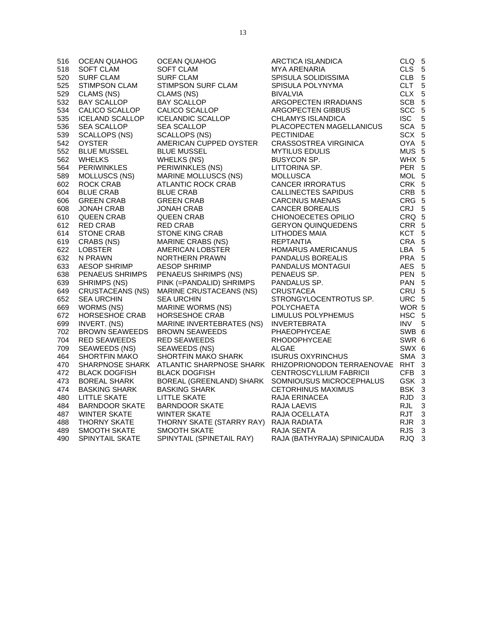| 516 | OCEAN QUAHOG            | OCEAN QUAHOG                           | ARCTICA ISLANDICA                                                         | CLQ 5            |  |
|-----|-------------------------|----------------------------------------|---------------------------------------------------------------------------|------------------|--|
| 518 | SOFT CLAM               | <b>SOFT CLAM</b>                       | MYA ARENARIA                                                              | CLS 5            |  |
| 520 | <b>SURF CLAM</b>        | <b>SURF CLAM</b>                       | SPISULA SOLIDISSIMA                                                       | CLB 5            |  |
| 525 | <b>STIMPSON CLAM</b>    | STIMPSON SURF CLAM                     | SPISULA POLYNYMA                                                          | CLT 5            |  |
| 529 | CLAMS (NS)              | CLAMS (NS)                             | <b>BIVALVIA</b>                                                           | CLX 5            |  |
| 532 | <b>BAY SCALLOP</b>      | <b>BAY SCALLOP</b>                     | ARGOPECTEN IRRADIANS                                                      | SCB 5            |  |
| 534 | CALICO SCALLOP          | CALICO SCALLOP                         | ARGOPECTEN GIBBUS                                                         | SCC 5            |  |
| 535 | <b>ICELAND SCALLOP</b>  | <b>ICELANDIC SCALLOP</b>               | CHLAMYS ISLANDICA                                                         | ISC 5            |  |
| 536 | <b>SEA SCALLOP</b>      | <b>SEA SCALLOP</b>                     | PLACOPECTEN MAGELLANICUS                                                  | SCA 5            |  |
| 539 | SCALLOPS (NS)           | <b>SCALLOPS (NS)</b>                   | <b>PECTINIDAE</b>                                                         | SCX 5            |  |
| 542 | <b>OYSTER</b>           | AMERICAN CUPPED OYSTER                 | CRASSOSTREA VIRGINICA                                                     | OYA 5            |  |
| 552 | <b>BLUE MUSSEL</b>      | <b>BLUE MUSSEL</b>                     | <b>MYTILUS EDULIS</b>                                                     | MUS <sub>5</sub> |  |
| 562 | <b>WHELKS</b>           | <b>WHELKS (NS)</b>                     | BUSYCON SP.                                                               | WHX 5            |  |
| 564 | <b>PERIWINKLES</b>      | PERIWINKLES (NS)                       | LITTORINA SP.                                                             | PER 5            |  |
| 589 | MOLLUSCS (NS)           | <b>MARINE MOLLUSCS (NS)</b>            | <b>MOLLUSCA</b>                                                           | MOL 5            |  |
| 602 | ROCK CRAB               | ATLANTIC ROCK CRAB                     | <b>CANCER IRRORATUS</b>                                                   | CRK 5            |  |
| 604 | <b>BLUE CRAB</b>        | <b>BLUE CRAB</b>                       | CALLINECTES SAPIDUS                                                       | CRB 5            |  |
| 606 | <b>GREEN CRAB</b>       | <b>GREEN CRAB</b>                      | <b>CARCINUS MAENAS</b>                                                    | CRG 5            |  |
| 608 | JONAH CRAB              | JONAH CRAB                             | <b>CANCER BOREALIS</b>                                                    | CRJ 5            |  |
| 610 | QUEEN CRAB              | QUEEN CRAB                             | CHIONOECETES OPILIO                                                       | CRQ 5            |  |
| 612 | RED CRAB                | <b>RED CRAB</b>                        | <b>GERYON QUINQUEDENS</b>                                                 | CRR 5            |  |
| 614 | STONE CRAB              | STONE KING CRAB                        | <b>LITHODES MAIA</b>                                                      | KCT <sub>5</sub> |  |
| 619 | CRABS (NS)              | MARINE CRABS (NS)                      | REPTANTIA                                                                 | CRA 5            |  |
| 622 | <b>LOBSTER</b>          | AMERICAN LOBSTER                       | HOMARUS AMERICANUS                                                        | LBA 5            |  |
| 632 | N PRAWN                 | NORTHERN PRAWN                         | PANDALUS BOREALIS                                                         | PRA 5            |  |
| 633 | <b>AESOP SHRIMP</b>     | <b>AESOP SHRIMP</b>                    | PANDALUS MONTAGUI                                                         | AES 5            |  |
| 638 | PENAEUS SHRIMPS         | PENAEUS SHRIMPS (NS)                   | PENAEUS SP.                                                               | PEN 5            |  |
| 639 | SHRIMPS (NS)            | PINK (=PANDALID) SHRIMPS               | PANDALUS SP.                                                              | PAN 5            |  |
| 649 | <b>CRUSTACEANS (NS)</b> | MARINE CRUSTACEANS (NS)                | <b>CRUSTACEA</b>                                                          | CRU 5            |  |
| 652 | <b>SEA URCHIN</b>       | <b>SEA URCHIN</b>                      | STRONGYLOCENTROTUS SP.                                                    | URC 5            |  |
| 669 | WORMS (NS)              | <b>MARINE WORMS (NS)</b>               | <b>POLYCHAETA</b>                                                         | WOR 5            |  |
| 672 | HORSESHOE CRAB          | HORSESHOE CRAB                         | LIMULUS POLYPHEMUS                                                        | HSC 5            |  |
| 699 | INVERT. (NS)            | MARINE INVERTEBRATES (NS)              | INVERTEBRATA                                                              | INV <sub>5</sub> |  |
| 702 | <b>BROWN SEAWEEDS</b>   | <b>BROWN SEAWEEDS</b>                  | PHAEOPHYCEAE                                                              | SWB 6            |  |
| 704 | <b>RED SEAWEEDS</b>     | <b>RED SEAWEEDS</b>                    | RHODOPHYCEAE                                                              | SWR 6            |  |
| 709 | SEAWEEDS (NS)           | SEAWEEDS (NS)                          | ALGAE                                                                     | SWX 6            |  |
| 464 | <b>SHORTFIN MAKO</b>    | SHORTFIN MAKO SHARK                    | <b>ISURUS OXYRINCHUS</b>                                                  | SMA 3            |  |
| 470 |                         |                                        | SHARPNOSE SHARK ATLANTIC SHARPNOSE SHARK RHIZOPRIONODON TERRAENOVAE RHT 3 |                  |  |
| 472 | <b>BLACK DOGFISH</b>    | <b>BLACK DOGFISH</b>                   | <b>CENTROSCYLLIUM FABRICII</b>                                            | CFB <sub>3</sub> |  |
| 473 | <b>BOREAL SHARK</b>     |                                        | BOREAL (GREENLAND) SHARK SOMNIOUSUS MICROCEPHALUS                         | GSK 3            |  |
| 474 | <b>BASKING SHARK</b>    | <b>BASKING SHARK</b>                   | CETORHINUS MAXIMUS                                                        | BSK 3            |  |
| 480 | LITTLE SKATE            | <b>LITTLE SKATE</b>                    | RAJA ERINACEA                                                             | RJD <sub>3</sub> |  |
| 484 | <b>BARNDOOR SKATE</b>   | <b>BARNDOOR SKATE</b>                  | RAJA LAEVIS                                                               | RJL 3            |  |
| 487 | <b>WINTER SKATE</b>     | <b>WINTER SKATE</b>                    | RAJA OCELLATA                                                             | RJT <sub>3</sub> |  |
| 488 | THORNY SKATE            | THORNY SKATE (STARRY RAY) RAJA RADIATA |                                                                           | RJR <sub>3</sub> |  |
| 489 | SMOOTH SKATE            | SMOOTH SKATE                           | RAJA SENTA                                                                | RJS <sub>3</sub> |  |
| 490 | SPINYTAIL SKATE         | SPINYTAIL (SPINETAIL RAY)              | RAJA (BATHYRAJA) SPINICAUDA                                               | RJQ 3            |  |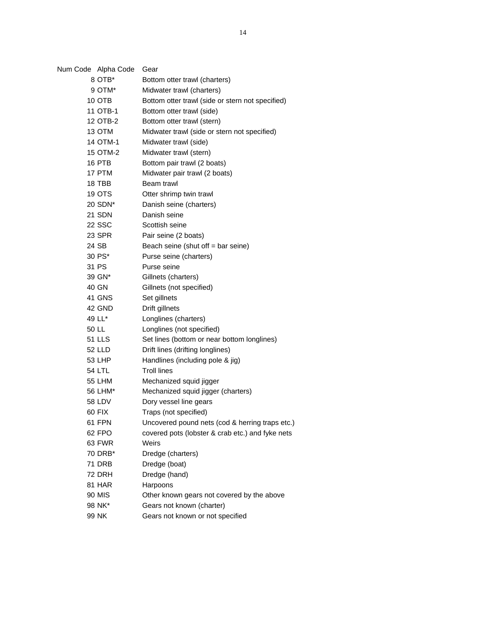| Num Code Alpha Code | Gear                                             |
|---------------------|--------------------------------------------------|
| 8 OTB*              | Bottom otter trawl (charters)                    |
| 9 OTM*              | Midwater trawl (charters)                        |
| 10 OTB              | Bottom otter trawl (side or stern not specified) |
| 11 OTB-1            | Bottom otter trawl (side)                        |
| 12 OTB-2            | Bottom otter trawl (stern)                       |
| 13 OTM              | Midwater trawl (side or stern not specified)     |
| 14 OTM-1            | Midwater trawl (side)                            |
| 15 OTM-2            | Midwater trawl (stern)                           |
| 16 PTB              | Bottom pair trawl (2 boats)                      |
| 17 PTM              | Midwater pair trawl (2 boats)                    |
| 18 TBB              | Beam trawl                                       |
| 19 OTS              | Otter shrimp twin trawl                          |
| 20 SDN*             | Danish seine (charters)                          |
| 21 SDN              | Danish seine                                     |
| <b>22 SSC</b>       | Scottish seine                                   |
| 23 SPR              | Pair seine (2 boats)                             |
| 24 SB               | Beach seine (shut off = bar seine)               |
| 30 PS*              | Purse seine (charters)                           |
| 31 PS               | Purse seine                                      |
| 39 GN*              | Gillnets (charters)                              |
| 40 GN               | Gillnets (not specified)                         |
| 41 GNS              | Set gillnets                                     |
| 42 GND              | Drift gillnets                                   |
| 49 LL*              | Longlines (charters)                             |
| 50 LL               | Longlines (not specified)                        |
| 51 LLS              | Set lines (bottom or near bottom longlines)      |
| 52 LLD              | Drift lines (drifting longlines)                 |
| 53 LHP              | Handlines (including pole & jig)                 |
| 54 LTL              | <b>Troll lines</b>                               |
| <b>55 LHM</b>       | Mechanized squid jigger                          |
| 56 LHM*             | Mechanized squid jigger (charters)               |
| 58 LDV              | Dory vessel line gears                           |
| 60 FIX              | Traps (not specified)                            |
| 61 FPN              | Uncovered pound nets (cod & herring traps etc.)  |
| 62 FPO              | covered pots (lobster & crab etc.) and fyke nets |
| 63 FWR              | Weirs                                            |
| 70 DRB*             | Dredge (charters)                                |
| 71 DRB              | Dredge (boat)                                    |
| 72 DRH              | Dredge (hand)                                    |
| 81 HAR              | Harpoons                                         |
| 90 MIS              | Other known gears not covered by the above       |
| 98 NK*              | Gears not known (charter)                        |
| 99 NK               | Gears not known or not specified                 |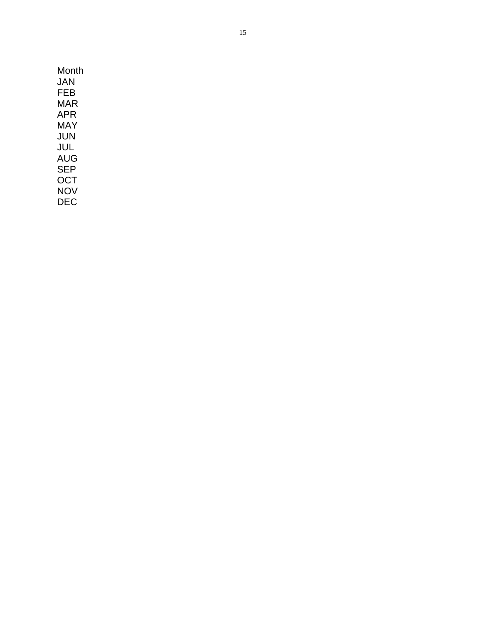| Month      |
|------------|
| JAN        |
| FEB        |
| MAR        |
| APR        |
| MAY        |
| JUN        |
| JUL.       |
| AUG        |
| <b>SEP</b> |
| OCT        |
| NOV        |
| DEC        |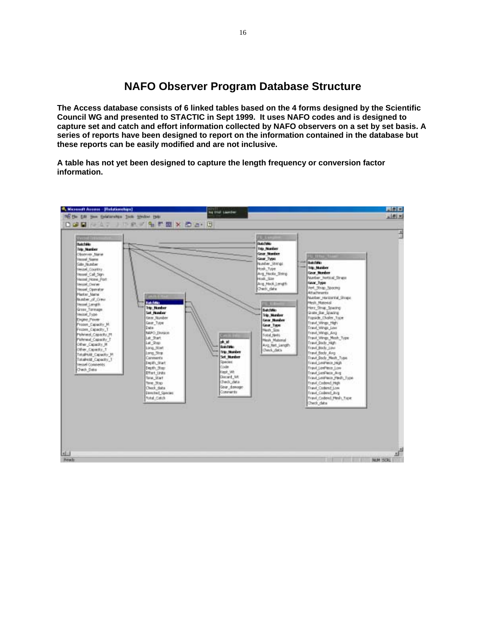**NAFO Observer Program Database Structure** 

**The Access database consists of 6 linked tables based on the 4 forms designed by the Scientific Council WG and presented to STACTIC in Sept 1999. It uses NAFO codes and is designed to capture set and catch and effort information collected by NAFO observers on a set by set basis. A series of reports have been designed to report on the information contained in the database but these reports can be easily modified and are not inclusive.** 

**A table has not yet been designed to capture the length frequency or conversion factor information.** 

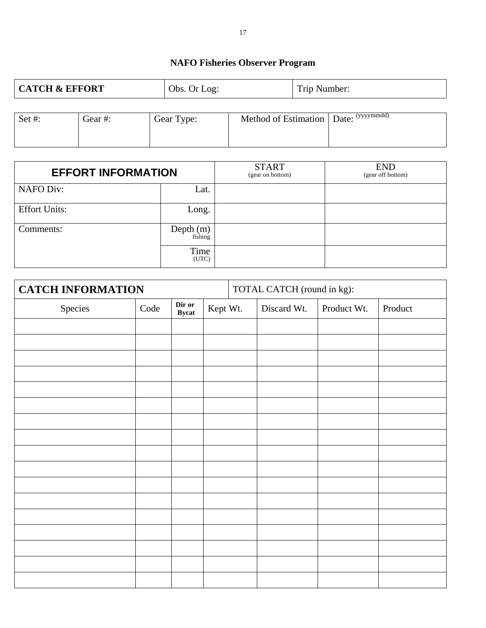# **NAFO Fisheries Observer Program**

| <b>CATCH &amp; EFFORT</b> |         | Obs. Or Log: |  |  | Trip Number:                            |  |  |
|---------------------------|---------|--------------|--|--|-----------------------------------------|--|--|
| Set#:                     | Gear #: | Gear Type:   |  |  | Method of Estimation   Date: (yyyymmdd) |  |  |
|                           |         |              |  |  |                                         |  |  |

| <b>EFFORT INFORMATION</b> |                     | <b>START</b><br>(gear on bottom) | <b>END</b><br>(gear off bottom) |
|---------------------------|---------------------|----------------------------------|---------------------------------|
| <b>NAFO Div:</b>          | Lat.                |                                  |                                 |
| <b>Effort Units:</b>      | Long.               |                                  |                                 |
| Comments:                 | Depth $(m)$ fishing |                                  |                                 |
|                           | Time<br>(UTC)       |                                  |                                 |

| <b>CATCH INFORMATION</b> |      |                        |          | TOTAL CATCH (round in kg): |             |         |
|--------------------------|------|------------------------|----------|----------------------------|-------------|---------|
| Species                  | Code | Dir or<br><b>Bycat</b> | Kept Wt. | Discard Wt.                | Product Wt. | Product |
|                          |      |                        |          |                            |             |         |
|                          |      |                        |          |                            |             |         |
|                          |      |                        |          |                            |             |         |
|                          |      |                        |          |                            |             |         |
|                          |      |                        |          |                            |             |         |
|                          |      |                        |          |                            |             |         |
|                          |      |                        |          |                            |             |         |
|                          |      |                        |          |                            |             |         |
|                          |      |                        |          |                            |             |         |
|                          |      |                        |          |                            |             |         |
|                          |      |                        |          |                            |             |         |
|                          |      |                        |          |                            |             |         |
|                          |      |                        |          |                            |             |         |
|                          |      |                        |          |                            |             |         |
|                          |      |                        |          |                            |             |         |
|                          |      |                        |          |                            |             |         |
|                          |      |                        |          |                            |             |         |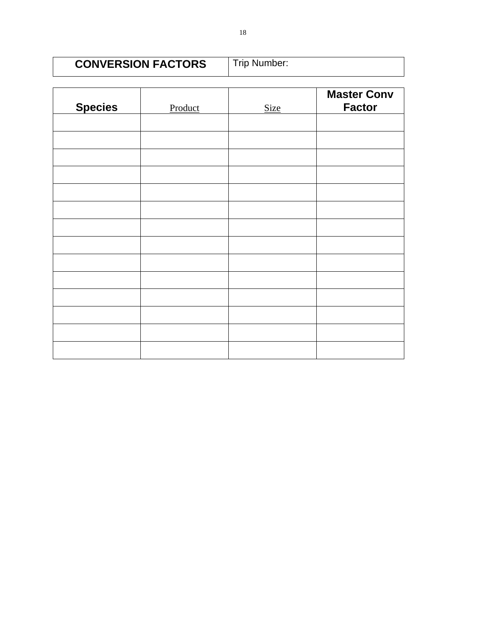| <b>CONVERSION FACTORS</b> | Trip Number: |
|---------------------------|--------------|
|                           |              |

| <b>Species</b> | Product | <b>Size</b> | <b>Master Conv</b><br><b>Factor</b> |
|----------------|---------|-------------|-------------------------------------|
|                |         |             |                                     |
|                |         |             |                                     |
|                |         |             |                                     |
|                |         |             |                                     |
|                |         |             |                                     |
|                |         |             |                                     |
|                |         |             |                                     |
|                |         |             |                                     |
|                |         |             |                                     |
|                |         |             |                                     |
|                |         |             |                                     |
|                |         |             |                                     |
|                |         |             |                                     |
|                |         |             |                                     |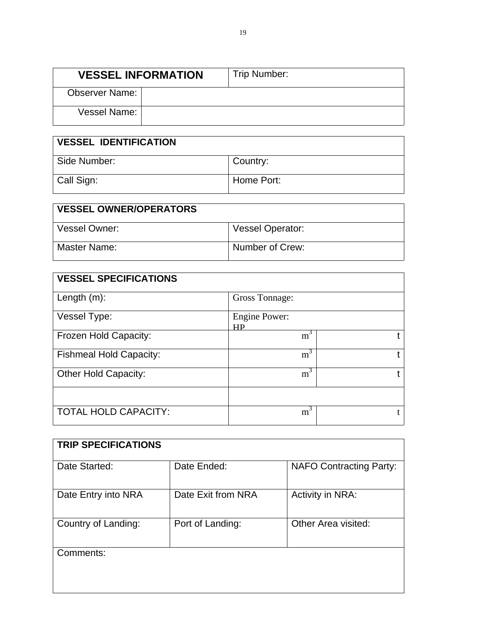| <b>VESSEL INFORMATION</b> |  | Trip Number: |
|---------------------------|--|--------------|
| <b>Observer Name:</b>     |  |              |
| Vessel Name:              |  |              |

| <b>VESSEL IDENTIFICATION</b> |            |  |  |
|------------------------------|------------|--|--|
| Side Number:                 | Country:   |  |  |
| Call Sign:                   | Home Port: |  |  |

| <b>VESSEL OWNER/OPERATORS</b> |                         |
|-------------------------------|-------------------------|
| Vessel Owner:                 | <b>Vessel Operator:</b> |
| Master Name:                  | Number of Crew:         |

| <b>VESSEL SPECIFICATIONS</b>   |                            |  |  |
|--------------------------------|----------------------------|--|--|
| Length $(m)$ :                 | <b>Gross Tonnage:</b>      |  |  |
| Vessel Type:                   | <b>Engine Power:</b><br>НP |  |  |
| Frozen Hold Capacity:          | m <sup>3</sup>             |  |  |
| <b>Fishmeal Hold Capacity:</b> | $m^3$                      |  |  |
| <b>Other Hold Capacity:</b>    | $\overline{m}^3$           |  |  |
| <b>TOTAL HOLD CAPACITY:</b>    | m <sup>3</sup>             |  |  |

| <b>TRIP SPECIFICATIONS</b> |                    |                                |
|----------------------------|--------------------|--------------------------------|
| Date Started:              | Date Ended:        | <b>NAFO Contracting Party:</b> |
| Date Entry into NRA        | Date Exit from NRA | <b>Activity in NRA:</b>        |
| Country of Landing:        | Port of Landing:   | Other Area visited:            |
| Comments:                  |                    |                                |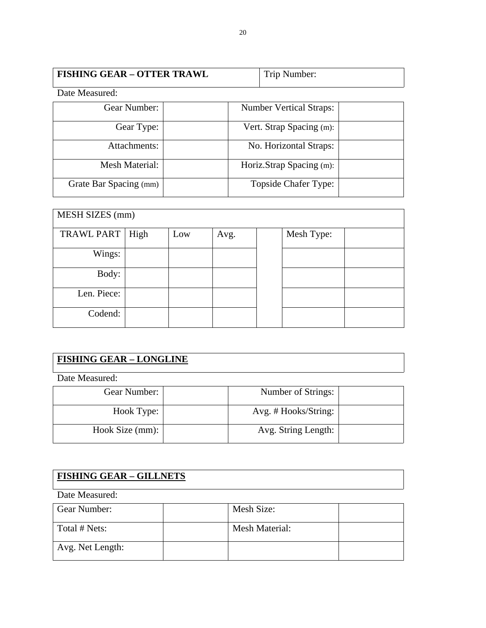| <b>FISHING GEAR - OTTER TRAWL</b> | Trip Number: |
|-----------------------------------|--------------|
|                                   |              |

Date Measured:

| Gear Number:           | <b>Number Vertical Straps:</b> |  |
|------------------------|--------------------------------|--|
| Gear Type:             | Vert. Strap Spacing (m):       |  |
| Attachments:           | No. Horizontal Straps:         |  |
| Mesh Material:         | Horiz.Strap Spacing (m):       |  |
| Grate Bar Spacing (mm) | <b>Topside Chafer Type:</b>    |  |

| <b>MESH SIZES</b> (mm) |      |     |      |  |            |  |
|------------------------|------|-----|------|--|------------|--|
|                        |      |     |      |  |            |  |
| TRAWL PART             | High | Low | Avg. |  | Mesh Type: |  |
|                        |      |     |      |  |            |  |
| Wings:                 |      |     |      |  |            |  |
|                        |      |     |      |  |            |  |
| Body:                  |      |     |      |  |            |  |
|                        |      |     |      |  |            |  |
| Len. Piece:            |      |     |      |  |            |  |
|                        |      |     |      |  |            |  |
| Codend:                |      |     |      |  |            |  |
|                        |      |     |      |  |            |  |
|                        |      |     |      |  |            |  |

# **FISHING GEAR – LONGLINE**

Date Measured:

| Gear Number:    | Number of Strings:   |  |
|-----------------|----------------------|--|
| Hook Type:      | Avg. # Hooks/String: |  |
| Hook Size (mm): | Avg. String Length:  |  |

| <b>FISHING GEAR - GILLNETS</b> |                       |  |  |  |
|--------------------------------|-----------------------|--|--|--|
| Date Measured:                 |                       |  |  |  |
| Gear Number:                   | Mesh Size:            |  |  |  |
| Total # Nets:                  | <b>Mesh Material:</b> |  |  |  |
| Avg. Net Length:               |                       |  |  |  |